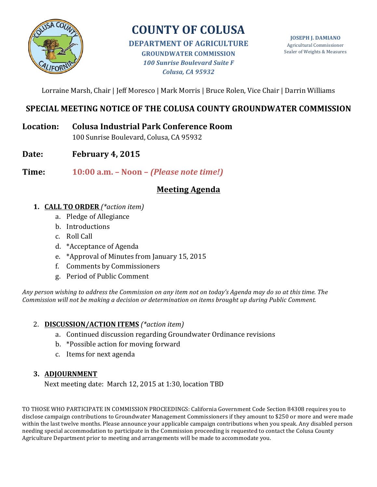

# **COUNTY OF COLUSA**

**DEPARTMENT OF AGRICULTURE GROUNDWATER COMMISSION** *100 Sunrise Boulevard Suite F Colusa, CA 95932*

**JOSEPH J. DAMIANO** Agricultural Commissioner Sealer of Weights & Measures

Lorraine Marsh, Chair | Jeff Moresco | Mark Morris | Bruce Rolen, Vice Chair | Darrin Williams

## **SPECIAL MEETING NOTICE OF THE COLUSA COUNTY GROUNDWATER COMMISSION**

**Location: Colusa Industrial Park Conference Room**

100 Sunrise Boulevard, Colusa, CA 95932

Date: **February** 4, 2015

**Time: 10:00 a.m. – Noon –** *(Please note time!)*

## **Meeting Agenda**

- **1. CALL TO ORDER** *(\*action item)*
	- a. Pledge of Allegiance
	- b. Introductions
	- c. Roll Call
	- d. \*Acceptance of Agenda
	- e. \*Approval of Minutes from January 15, 2015
	- f. Comments by Commissioners
	- g. Period of Public Comment

Any person wishing to address the Commission on any item not on today's Agenda may do so at this time. The *Commission will not be making a decision or determination on items brought up during Public Comment.* 

## 2. **DISCUSSION/ACTION ITEMS** *(\*action item)*

- a. Continued discussion regarding Groundwater Ordinance revisions
- b. \*Possible action for moving forward
- c. Items for next agenda

## **3. ADJOURNMENT**

Next meeting date: March 12, 2015 at 1:30, location TBD

TO THOSE WHO PARTICIPATE IN COMMISSION PROCEEDINGS: California Government Code Section 84308 requires you to disclose campaign contributions to Groundwater Management Commissioners if they amount to \$250 or more and were made within the last twelve months. Please announce your applicable campaign contributions when you speak. Any disabled person needing special accommodation to participate in the Commission proceeding is requested to contact the Colusa County Agriculture Department prior to meeting and arrangements will be made to accommodate you.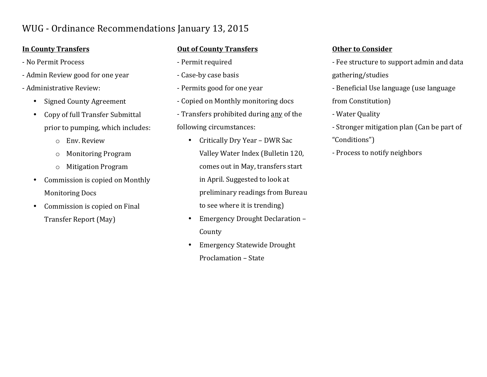## WUG - Ordinance Recommendations January 13, 2015

## **In County Transfers**

- No Permit Process
- Admin Review good for one year
- Administrative Review:
	- Signed County Agreement
	- Copy of full Transfer Submittal prior to pumping, which includes:
		- o Env. Review
		- o Monitoring Program
		- $\circ$  Mitigation Program
	- Commission is copied on Monthly **Monitoring Docs**
	- Commission is copied on Final Transfer Report (May)

## **Out of County Transfers**

- Permit required
- Case-by case basis
- Permits good for one year
- Copied on Monthly monitoring docs
- Transfers prohibited during any of the following circumstances:
	- Critically Dry Year DWR Sac Valley Water Index (Bulletin 120, comes out in May, transfers start in April. Suggested to look at preliminary readings from Bureau to see where it is trending)
	- Emergency Drought Declaration -County
	- Emergency Statewide Drought Proclamation - State

## **Other to Consider**

- Fee structure to support admin and data gathering/studies
- Beneficial Use language (use language from Constitution)
- Water Quality
- Stronger mitigation plan (Can be part of
- "Conditions")
- Process to notify neighbors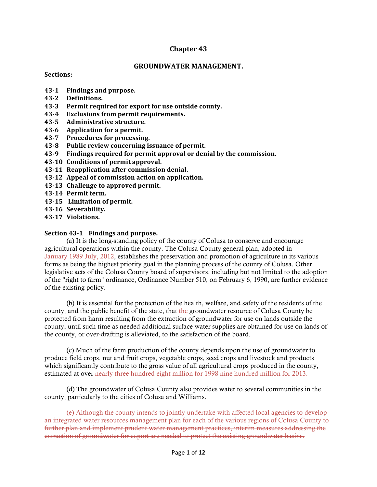#### **Chapter 43**

#### **GROUNDWATER MANAGEMENT.**

#### **Sections:**

- **43-1 Findings and purpose.**
- **43-2 Definitions.**
- **43-3** Permit required for export for use outside county.
- **43-4 Exclusions from permit requirements.**
- **43-5 Administrative structure.**
- **43-6 Application for a permit.**
- **43-7** Procedures for processing.
- **43-8** Public review concerning issuance of permit.
- **43-9 Findings required for permit approval or denial by the commission.**
- **43-10 Conditions of permit approval.**
- **43-11 Reapplication after commission denial.**
- **43-12 Appeal of commission action on application.**
- **43-13 Challenge to approved permit.**
- **43-14 Permit term.**
- **43-15 Limitation of permit.**
- **43-16 Severability.**
- **43-17 Violations.**

#### **Section 43-1 Findings and purpose.**

(a) It is the long-standing policy of the county of Colusa to conserve and encourage agricultural operations within the county. The Colusa County general plan, adopted in January 1989 July, 2012, establishes the preservation and promotion of agriculture in its various forms as being the highest priority goal in the planning process of the county of Colusa. Other legislative acts of the Colusa County board of supervisors, including but not limited to the adoption of the "right to farm" ordinance, Ordinance Number 510, on February 6, 1990, are further evidence of the existing policy.

(b) It is essential for the protection of the health, welfare, and safety of the residents of the county, and the public benefit of the state, that the groundwater resource of Colusa County be protected from harm resulting from the extraction of groundwater for use on lands outside the county, until such time as needed additional surface water supplies are obtained for use on lands of the county, or over-drafting is alleviated, to the satisfaction of the board.

(c) Much of the farm production of the county depends upon the use of groundwater to produce field crops, nut and fruit crops, vegetable crops, seed crops and livestock and products which significantly contribute to the gross value of all agricultural crops produced in the county, estimated at over nearly three hundred eight million for 1998 nine hundred million for 2013.

(d) The groundwater of Colusa County also provides water to several communities in the county, particularly to the cities of Colusa and Williams.

(e) Although the county intends to jointly undertake with affected local agencies to develop an integrated water resources management plan for each of the various regions of Colusa County to further plan and implement prudent water management practices, interim measures addressing the extraction of groundwater for export are needed to protect the existing groundwater basins.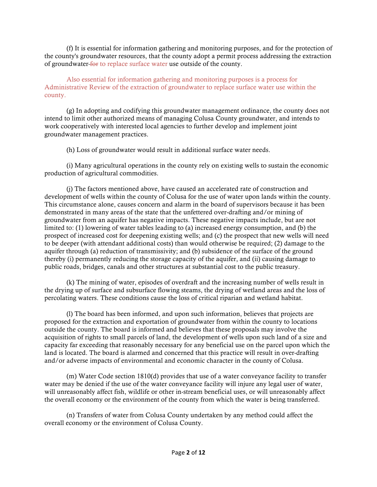(f) It is essential for information gathering and monitoring purposes, and for the protection of the county's groundwater resources, that the county adopt a permit process addressing the extraction of groundwater for to replace surface water use outside of the county.

Also essential for information gathering and monitoring purposes is a process for Administrative Review of the extraction of groundwater to replace surface water use within the county.

(g) In adopting and codifying this groundwater management ordinance, the county does not intend to limit other authorized means of managing Colusa County groundwater, and intends to work cooperatively with interested local agencies to further develop and implement joint groundwater management practices.

(h) Loss of groundwater would result in additional surface water needs.

(i) Many agricultural operations in the county rely on existing wells to sustain the economic production of agricultural commodities.

(j) The factors mentioned above, have caused an accelerated rate of construction and development of wells within the county of Colusa for the use of water upon lands within the county. This circumstance alone, causes concern and alarm in the board of supervisors because it has been demonstrated in many areas of the state that the unfettered over-drafting and/or mining of groundwater from an aquifer has negative impacts. These negative impacts include, but are not limited to: (1) lowering of water tables leading to (a) increased energy consumption, and (b) the prospect of increased cost for deepening existing wells; and (c) the prospect that new wells will need to be deeper (with attendant additional costs) than would otherwise be required; (2) damage to the aquifer through (a) reduction of transmissivity; and (b) subsidence of the surface of the ground thereby (i) permanently reducing the storage capacity of the aquifer, and (ii) causing damage to public roads, bridges, canals and other structures at substantial cost to the public treasury.

(k) The mining of water, episodes of overdraft and the increasing number of wells result in the drying up of surface and subsurface flowing steams, the drying of wetland areas and the loss of percolating waters. These conditions cause the loss of critical riparian and wetland habitat.

(l) The board has been informed, and upon such information, believes that projects are proposed for the extraction and exportation of groundwater from within the county to locations outside the county. The board is informed and believes that these proposals may involve the acquisition of rights to small parcels of land, the development of wells upon such land of a size and capacity far exceeding that reasonably necessary for any beneficial use on the parcel upon which the land is located. The board is alarmed and concerned that this practice will result in over-drafting and/or adverse impacts of environmental and economic character in the county of Colusa.

(m) Water Code section 1810(d) provides that use of a water conveyance facility to transfer water may be denied if the use of the water conveyance facility will injure any legal user of water, will unreasonably affect fish, wildlife or other in-stream beneficial uses, or will unreasonably affect the overall economy or the environment of the county from which the water is being transferred.

(n) Transfers of water from Colusa County undertaken by any method could affect the overall economy or the environment of Colusa County.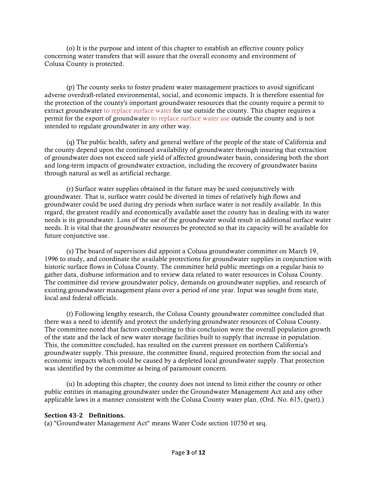(o) It is the purpose and intent of this chapter to establish an effective county policy concerning water transfers that will assure that the overall economy and environment of Colusa County is protected.

(p) The county seeks to foster prudent water management practices to avoid significant adverse overdraft-related environmental, social, and economic impacts. It is therefore essential for the protection of the county's important groundwater resources that the county require a permit to extract groundwater to replace surface water for use outside the county. This chapter requires a permit for the export of groundwater to replace surface water use outside the county and is not intended to regulate groundwater in any other way.

(q) The public health, safety and general welfare of the people of the state of California and the county depend upon the continued availability of groundwater through insuring that extraction of groundwater does not exceed safe yield of affected groundwater basin, considering both the short and long-term impacts of groundwater extraction, including the recovery of groundwater basins through natural as well as artificial recharge.

(r) Surface water supplies obtained in the future may be used conjunctively with groundwater. That is, surface water could be diverted in times of relatively high flows and groundwater could be used during dry periods when surface water is not readily available. In this regard, the greatest readily and economically available asset the county has in dealing with its water needs is its groundwater. Loss of the use of the groundwater would result in additional surface water needs. It is vital that the groundwater resources be protected so that its capacity will be available for future conjunctive use.

(s) The board of supervisors did appoint a Colusa groundwater committee on March 19, 1996 to study, and coordinate the available protections for groundwater supplies in conjunction with historic surface flows in Colusa County. The committee held public meetings on a regular basis to gather data, disburse information and to review data related to water resources in Colusa County. The committee did review groundwater policy, demands on groundwater supplies, and research of existing groundwater management plans over a period of one year. Input was sought from state, local and federal officials.

(t) Following lengthy research, the Colusa County groundwater committee concluded that there was a need to identify and protect the underlying groundwater resources of Colusa County. The committee noted that factors contributing to this conclusion were the overall population growth of the state and the lack of new water storage facilities built to supply that increase in population. This, the committee concluded, has resulted on the current pressure on northern California's groundwater supply. This pressure, the committee found, required protection from the social and economic impacts which could be caused by a depleted local groundwater supply. That protection was identified by the committee as being of paramount concern.

(u) In adopting this chapter, the county does not intend to limit either the county or other public entities in managing groundwater under the Groundwater Management Act and any other applicable laws in a manner consistent with the Colusa County water plan. (Ord. No. 615, (part).)

#### **Section 43-2 Definitions.**

(a) "Groundwater Management Act" means Water Code section 10750 et seq.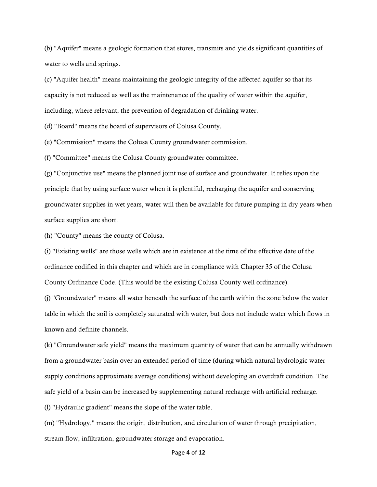(b) "Aquifer" means a geologic formation that stores, transmits and yields significant quantities of water to wells and springs.

(c) "Aquifer health" means maintaining the geologic integrity of the affected aquifer so that its capacity is not reduced as well as the maintenance of the quality of water within the aquifer, including, where relevant, the prevention of degradation of drinking water.

(d) "Board" means the board of supervisors of Colusa County.

(e) "Commission" means the Colusa County groundwater commission.

(f) "Committee" means the Colusa County groundwater committee.

(g) "Conjunctive use" means the planned joint use of surface and groundwater. It relies upon the principle that by using surface water when it is plentiful, recharging the aquifer and conserving groundwater supplies in wet years, water will then be available for future pumping in dry years when surface supplies are short.

(h) "County" means the county of Colusa.

(i) "Existing wells" are those wells which are in existence at the time of the effective date of the ordinance codified in this chapter and which are in compliance with Chapter 35 of the Colusa County Ordinance Code. (This would be the existing Colusa County well ordinance).

(j) "Groundwater" means all water beneath the surface of the earth within the zone below the water table in which the soil is completely saturated with water, but does not include water which flows in known and definite channels.

(k) "Groundwater safe yield" means the maximum quantity of water that can be annually withdrawn from a groundwater basin over an extended period of time (during which natural hydrologic water supply conditions approximate average conditions) without developing an overdraft condition. The safe yield of a basin can be increased by supplementing natural recharge with artificial recharge.

(l) "Hydraulic gradient" means the slope of the water table.

(m) "Hydrology," means the origin, distribution, and circulation of water through precipitation, stream flow, infiltration, groundwater storage and evaporation.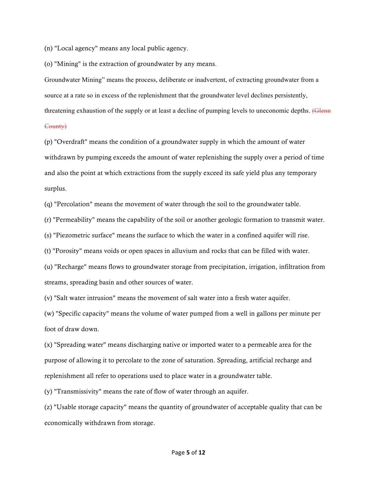(n) "Local agency" means any local public agency.

(o) "Mining" is the extraction of groundwater by any means.

Groundwater Mining" means the process, deliberate or inadvertent, of extracting groundwater from a source at a rate so in excess of the replenishment that the groundwater level declines persistently, threatening exhaustion of the supply or at least a decline of pumping levels to uneconomic depths. (Glenn

#### County)

(p) "Overdraft" means the condition of a groundwater supply in which the amount of water withdrawn by pumping exceeds the amount of water replenishing the supply over a period of time and also the point at which extractions from the supply exceed its safe yield plus any temporary surplus.

(q) "Percolation" means the movement of water through the soil to the groundwater table.

(r) "Permeability" means the capability of the soil or another geologic formation to transmit water.

(s) "Piezometric surface" means the surface to which the water in a confined aquifer will rise.

(t) "Porosity" means voids or open spaces in alluvium and rocks that can be filled with water.

(u) "Recharge" means flows to groundwater storage from precipitation, irrigation, infiltration from streams, spreading basin and other sources of water.

(v) "Salt water intrusion" means the movement of salt water into a fresh water aquifer.

(w) "Specific capacity" means the volume of water pumped from a well in gallons per minute per foot of draw down.

(x) "Spreading water" means discharging native or imported water to a permeable area for the purpose of allowing it to percolate to the zone of saturation. Spreading, artificial recharge and replenishment all refer to operations used to place water in a groundwater table.

(y) "Transmissivity" means the rate of flow of water through an aquifer.

(z) "Usable storage capacity" means the quantity of groundwater of acceptable quality that can be economically withdrawn from storage.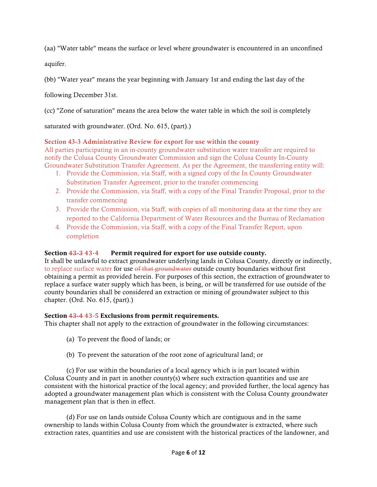(aa) "Water table" means the surface or level where groundwater is encountered in an unconfined

aquifer.

(bb) "Water year" means the year beginning with January 1st and ending the last day of the

following December 31st.

(cc) "Zone of saturation" means the area below the water table in which the soil is completely

saturated with groundwater. (Ord. No. 615, (part).)

#### Section 43-3 Administrative Review for export for use within the county

All parties participating in an in-county groundwater substitution water transfer are required to notify the Colusa County Groundwater Commission and sign the Colusa County In-County Groundwater Substitution Transfer Agreement. As per the Agreement, the transferring entity will:

- 1. Provide the Commission, via Staff, with a signed copy of the In County Groundwater Substitution Transfer Agreement, prior to the transfer commencing
- 2. Provide the Commission, via Staff, with a copy of the Final Transfer Proposal, prior to the transfer commencing
- 3. Provide the Commission, via Staff, with copies of all monitoring data at the time they are reported to the California Department of Water Resources and the Bureau of Reclamation
- 4. Provide the Commission, via Staff, with a copy of the Final Transfer Report, upon completion

#### **Section 43-3 43-4** Permit required for export for use outside county.

It shall be unlawful to extract groundwater underlying lands in Colusa County, directly or indirectly, to replace surface water for use of that groundwater outside county boundaries without first obtaining a permit as provided herein. For purposes of this section, the extraction of groundwater to replace a surface water supply which has been, is being, or will be transferred for use outside of the county boundaries shall be considered an extraction or mining of groundwater subject to this chapter. (Ord. No. 615, (part).)

#### **Section 43-4 43-5 Exclusions from permit requirements.**

This chapter shall not apply to the extraction of groundwater in the following circumstances:

- (a) To prevent the flood of lands; or
- (b) To prevent the saturation of the root zone of agricultural land; or

(c) For use within the boundaries of a local agency which is in part located within Colusa County and in part in another county(s) where such extraction quantities and use are consistent with the historical practice of the local agency; and provided further, the local agency has adopted a groundwater management plan which is consistent with the Colusa County groundwater management plan that is then in effect.

(d) For use on lands outside Colusa County which are contiguous and in the same ownership to lands within Colusa County from which the groundwater is extracted, where such extraction rates, quantities and use are consistent with the historical practices of the landowner, and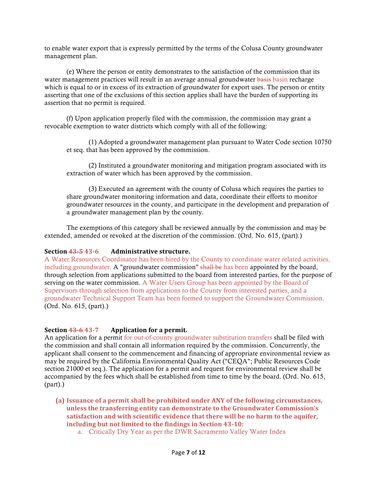to enable water export that is expressly permitted by the terms of the Colusa County groundwater management plan.

(e) Where the person or entity demonstrates to the satisfaction of the commission that its water management practices will result in an average annual groundwater basis basin recharge which is equal to or in excess of its extraction of groundwater for export uses. The person or entity asserting that one of the exclusions of this section applies shall have the burden of supporting its assertion that no permit is required.

(f) Upon application properly filed with the commission, the commission may grant a revocable exemption to water districts which comply with all of the following:

(1) Adopted a groundwater management plan pursuant to Water Code section 10750 et seq. that has been approved by the commission.

(2) Instituted a groundwater monitoring and mitigation program associated with its extraction of water which has been approved by the commission.

(3) Executed an agreement with the county of Colusa which requires the parties to share groundwater monitoring information and data, coordinate their efforts to monitor groundwater resources in the county, and participate in the development and preparation of a groundwater management plan by the county.

The exemptions of this category shall be reviewed annually by the commission and may be extended, amended or revoked at the discretion of the commission. (Ord. No. 615, (part).)

#### **Section 43-543-6 Administrative structure.**

A Water Resources Coordinator has been hired by the County to coordinate water related activities, including groundwater. A "groundwater commission" shall be has been appointed by the board, through selection from applications submitted to the board from interested parties, for the purpose of serving on the water commission. A Water Users Group has been appointed by the Board of Supervisors through selection from applications to the County from interested parties, and a groundwater Technical Support Team has been formed to support the Groundwater Commission. (Ord. No. 615, (part).)

#### **Section 43-6 43-7 Application for a permit.**

An application for a permit for out-of-county groundwater substitution transfers shall be filed with the commission and shall contain all information required by the commission. Concurrently, the applicant shall consent to the commencement and financing of appropriate environmental review as may be required by the California Environmental Quality Act ("CEQA"; Public Resources Code section 21000 et seq.). The application for a permit and request for environmental review shall be accompanied by the fees which shall be established from time to time by the board. (Ord. No. 615, (part).)

- (a) Issuance of a permit shall be prohibited under ANY of the following circumstances, **unless the transferring entity can demonstrate to the Groundwater Commission's** satisfaction and with scientific evidence that there will be no harm to the aquifer, **including but not limited to the findings in Section 43-10:** 
	- a. Critically Dry Year as per the DWR Sacramento Valley Water Index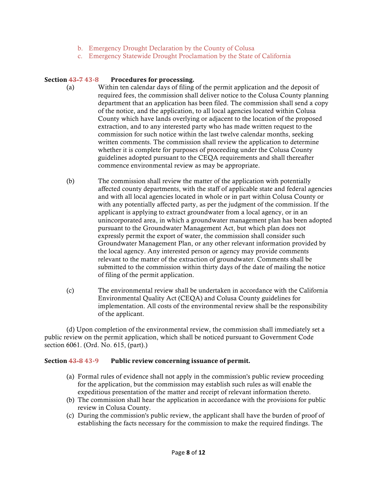- b. Emergency Drought Declaration by the County of Colusa
- c. Emergency Statewide Drought Proclamation by the State of California

#### **Section 43-7 43-8** Procedures for processing.

- (a) Within ten calendar days of filing of the permit application and the deposit of required fees, the commission shall deliver notice to the Colusa County planning department that an application has been filed. The commission shall send a copy of the notice, and the application, to all local agencies located within Colusa County which have lands overlying or adjacent to the location of the proposed extraction, and to any interested party who has made written request to the commission for such notice within the last twelve calendar months, seeking written comments. The commission shall review the application to determine whether it is complete for purposes of proceeding under the Colusa County guidelines adopted pursuant to the CEQA requirements and shall thereafter commence environmental review as may be appropriate.
- (b) The commission shall review the matter of the application with potentially affected county departments, with the staff of applicable state and federal agencies and with all local agencies located in whole or in part within Colusa County or with any potentially affected party, as per the judgment of the commission. If the applicant is applying to extract groundwater from a local agency, or in an unincorporated area, in which a groundwater management plan has been adopted pursuant to the Groundwater Management Act, but which plan does not expressly permit the export of water, the commission shall consider such Groundwater Management Plan, or any other relevant information provided by the local agency. Any interested person or agency may provide comments relevant to the matter of the extraction of groundwater. Comments shall be submitted to the commission within thirty days of the date of mailing the notice of filing of the permit application.
- (c) The environmental review shall be undertaken in accordance with the California Environmental Quality Act (CEQA) and Colusa County guidelines for implementation. All costs of the environmental review shall be the responsibility of the applicant.

(d) Upon completion of the environmental review, the commission shall immediately set a public review on the permit application, which shall be noticed pursuant to Government Code section 6061. (Ord. No. 615, (part).)

#### **Section 43-8 43-9** Public review concerning issuance of permit.

- (a) Formal rules of evidence shall not apply in the commission's public review proceeding for the application, but the commission may establish such rules as will enable the expeditious presentation of the matter and receipt of relevant information thereto.
- (b) The commission shall hear the application in accordance with the provisions for public review in Colusa County.
- (c) During the commission's public review, the applicant shall have the burden of proof of establishing the facts necessary for the commission to make the required findings. The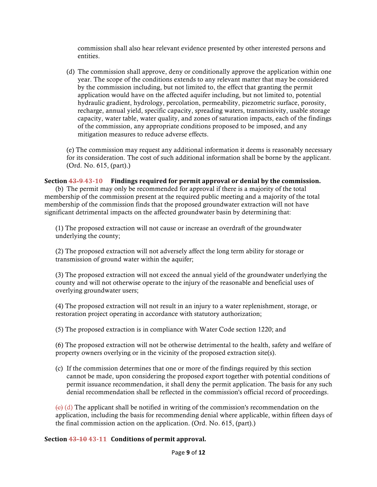commission shall also hear relevant evidence presented by other interested persons and entities.

(d) The commission shall approve, deny or conditionally approve the application within one year. The scope of the conditions extends to any relevant matter that may be considered by the commission including, but not limited to, the effect that granting the permit application would have on the affected aquifer including, but not limited to, potential hydraulic gradient, hydrology, percolation, permeability, piezometric surface, porosity, recharge, annual yield, specific capacity, spreading waters, transmissivity, usable storage capacity, water table, water quality, and zones of saturation impacts, each of the findings of the commission, any appropriate conditions proposed to be imposed, and any mitigation measures to reduce adverse effects.

(e) The commission may request any additional information it deems is reasonably necessary for its consideration. The cost of such additional information shall be borne by the applicant. (Ord. No. 615, (part).)

#### **Section 43-9-43-10** Findings required for permit approval or denial by the commission.

(b) The permit may only be recommended for approval if there is a majority of the total membership of the commission present at the required public meeting and a majority of the total membership of the commission finds that the proposed groundwater extraction will not have significant detrimental impacts on the affected groundwater basin by determining that:

(1) The proposed extraction will not cause or increase an overdraft of the groundwater underlying the county;

(2) The proposed extraction will not adversely affect the long term ability for storage or transmission of ground water within the aquifer;

(3) The proposed extraction will not exceed the annual yield of the groundwater underlying the county and will not otherwise operate to the injury of the reasonable and beneficial uses of overlying groundwater users;

(4) The proposed extraction will not result in an injury to a water replenishment, storage, or restoration project operating in accordance with statutory authorization;

(5) The proposed extraction is in compliance with Water Code section 1220; and

(6) The proposed extraction will not be otherwise detrimental to the health, safety and welfare of property owners overlying or in the vicinity of the proposed extraction site(s).

(c) If the commission determines that one or more of the findings required by this section cannot be made, upon considering the proposed export together with potential conditions of permit issuance recommendation, it shall deny the permit application. The basis for any such denial recommendation shall be reflected in the commission's official record of proceedings.

 $\left\{e\right\}(d)$  The applicant shall be notified in writing of the commission's recommendation on the application, including the basis for recommending denial where applicable, within fifteen days of the final commission action on the application. (Ord. No. 615, (part).)

#### **Section 43-10 43-11 Conditions of permit approval.**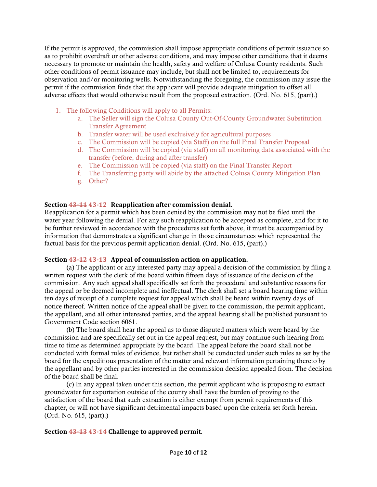If the permit is approved, the commission shall impose appropriate conditions of permit issuance so as to prohibit overdraft or other adverse conditions, and may impose other conditions that it deems necessary to promote or maintain the health, safety and welfare of Colusa County residents. Such other conditions of permit issuance may include, but shall not be limited to, requirements for observation and/or monitoring wells. Notwithstanding the foregoing, the commission may issue the permit if the commission finds that the applicant will provide adequate mitigation to offset all adverse effects that would otherwise result from the proposed extraction. (Ord. No. 615, (part).)

- 1. The following Conditions will apply to all Permits:
	- a. The Seller will sign the Colusa County Out-Of-County Groundwater Substitution Transfer Agreement
	- b. Transfer water will be used exclusively for agricultural purposes
	- c. The Commission will be copied (via Staff) on the full Final Transfer Proposal
	- d. The Commission will be copied (via staff) on all monitoring data associated with the transfer (before, during and after transfer)
	- e. The Commission will be copied (via staff) on the Final Transfer Report
	- f. The Transferring party will abide by the attached Colusa County Mitigation Plan
	- g. Other?

#### **Section 43-11 43-12 Reapplication after commission denial.**

Reapplication for a permit which has been denied by the commission may not be filed until the water year following the denial. For any such reapplication to be accepted as complete, and for it to be further reviewed in accordance with the procedures set forth above, it must be accompanied by information that demonstrates a significant change in those circumstances which represented the factual basis for the previous permit application denial. (Ord. No. 615, (part).)

#### **Section 43-12 43-13** Appeal of commission action on application.

(a) The applicant or any interested party may appeal a decision of the commission by filing a written request with the clerk of the board within fifteen days of issuance of the decision of the commission. Any such appeal shall specifically set forth the procedural and substantive reasons for the appeal or be deemed incomplete and ineffectual. The clerk shall set a board hearing time within ten days of receipt of a complete request for appeal which shall be heard within twenty days of notice thereof. Written notice of the appeal shall be given to the commission, the permit applicant, the appellant, and all other interested parties, and the appeal hearing shall be published pursuant to Government Code section 6061.

(b) The board shall hear the appeal as to those disputed matters which were heard by the commission and are specifically set out in the appeal request, but may continue such hearing from time to time as determined appropriate by the board. The appeal before the board shall not be conducted with formal rules of evidence, but rather shall be conducted under such rules as set by the board for the expeditious presentation of the matter and relevant information pertaining thereto by the appellant and by other parties interested in the commission decision appealed from. The decision of the board shall be final.

(c) In any appeal taken under this section, the permit applicant who is proposing to extract groundwater for exportation outside of the county shall have the burden of proving to the satisfaction of the board that such extraction is either exempt from permit requirements of this chapter, or will not have significant detrimental impacts based upon the criteria set forth herein. (Ord. No. 615, (part).)

#### **Section 43-13 43-14 Challenge to approved permit.**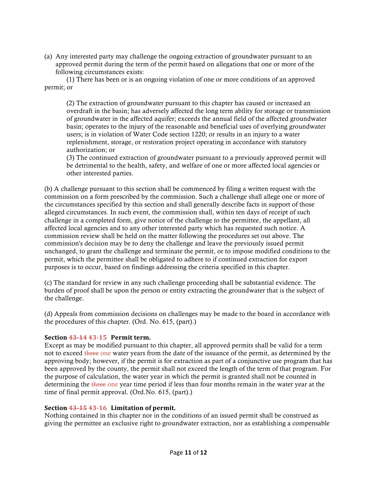(a) Any interested party may challenge the ongoing extraction of groundwater pursuant to an approved permit during the term of the permit based on allegations that one or more of the following circumstances exists:

(1) There has been or is an ongoing violation of one or more conditions of an approved permit; or

(2) The extraction of groundwater pursuant to this chapter has caused or increased an overdraft in the basin; has adversely affected the long term ability for storage or transmission of groundwater in the affected aquifer; exceeds the annual field of the affected groundwater basin; operates to the injury of the reasonable and beneficial uses of overlying groundwater users; is in violation of Water Code section 1220; or results in an injury to a water replenishment, storage, or restoration project operating in accordance with statutory authorization; or

(3) The continued extraction of groundwater pursuant to a previously approved permit will be detrimental to the health, safety, and welfare of one or more affected local agencies or other interested parties.

(b) A challenge pursuant to this section shall be commenced by filing a written request with the commission on a form prescribed by the commission. Such a challenge shall allege one or more of the circumstances specified by this section and shall generally describe facts in support of those alleged circumstances. In such event, the commission shall, within ten days of receipt of such challenge in a completed form, give notice of the challenge to the permittee, the appellant, all affected local agencies and to any other interested party which has requested such notice. A commission review shall be held on the matter following the procedures set out above. The commission's decision may be to deny the challenge and leave the previously issued permit unchanged, to grant the challenge and terminate the permit, or to impose modified conditions to the permit, which the permittee shall be obligated to adhere to if continued extraction for export purposes is to occur, based on findings addressing the criteria specified in this chapter.

(c) The standard for review in any such challenge proceeding shall be substantial evidence. The burden of proof shall be upon the person or entity extracting the groundwater that is the subject of the challenge.

(d) Appeals from commission decisions on challenges may be made to the board in accordance with the procedures of this chapter. (Ord. No. 615, (part).)

#### **Section 43-14 43-15 Permit term.**

Except as may be modified pursuant to this chapter, all approved permits shall be valid for a term not to exceed three one water years from the date of the issuance of the permit, as determined by the approving body; however, if the permit is for extraction as part of a conjunctive use program that has been approved by the county, the permit shall not exceed the length of the term of that program. For the purpose of calculation, the water year in which the permit is granted shall not be counted in determining the three one year time period if less than four months remain in the water year at the time of final permit approval. (Ord.No. 615, (part).)

#### **Section 43-15 43-16 Limitation of permit.**

Nothing contained in this chapter nor in the conditions of an issued permit shall be construed as giving the permittee an exclusive right to groundwater extraction, nor as establishing a compensable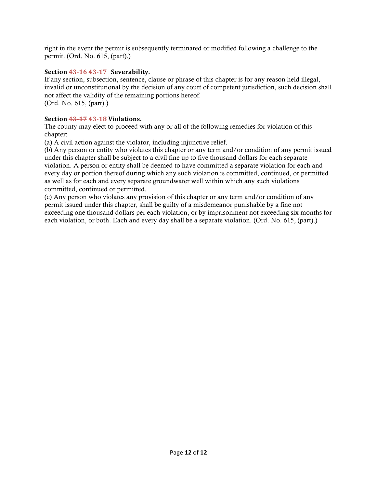right in the event the permit is subsequently terminated or modified following a challenge to the permit. (Ord. No. 615, (part).)

#### **Section 43-16 43-17 Severability.**

If any section, subsection, sentence, clause or phrase of this chapter is for any reason held illegal, invalid or unconstitutional by the decision of any court of competent jurisdiction, such decision shall not affect the validity of the remaining portions hereof. (Ord. No. 615, (part).)

#### **Section 43-17 43-18 Violations.**

The county may elect to proceed with any or all of the following remedies for violation of this chapter:

(a) A civil action against the violator, including injunctive relief.

(b) Any person or entity who violates this chapter or any term and/or condition of any permit issued under this chapter shall be subject to a civil fine up to five thousand dollars for each separate violation. A person or entity shall be deemed to have committed a separate violation for each and every day or portion thereof during which any such violation is committed, continued, or permitted as well as for each and every separate groundwater well within which any such violations committed, continued or permitted.

(c) Any person who violates any provision of this chapter or any term and/or condition of any permit issued under this chapter, shall be guilty of a misdemeanor punishable by a fine not exceeding one thousand dollars per each violation, or by imprisonment not exceeding six months for each violation, or both. Each and every day shall be a separate violation. (Ord. No. 615, (part).)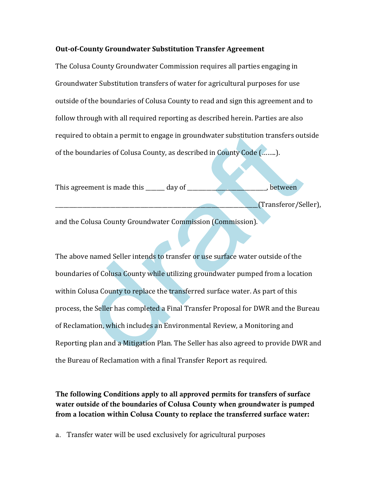#### **Out-of-County Groundwater Substitution Transfer Agreement**

The Colusa County Groundwater Commission requires all parties engaging in Groundwater Substitution transfers of water for agricultural purposes for use outside of the boundaries of Colusa County to read and sign this agreement and to follow through with all required reporting as described herein. Parties are also required to obtain a permit to engage in groundwater substitution transfers outside of the boundaries of Colusa County, as described in County Code (........).

| This agreement is made this       | day of |        | between              |
|-----------------------------------|--------|--------|----------------------|
|                                   |        |        | (Transferor/Seller), |
| , , , , ,<br>$\sim$ $\sim$ $\sim$ | $\sim$ | $\sim$ |                      |

and the Colusa County Groundwater Commission (Commission).

The above named Seller intends to transfer or use surface water outside of the boundaries of Colusa County while utilizing groundwater pumped from a location within Colusa County to replace the transferred surface water. As part of this process, the Seller has completed a Final Transfer Proposal for DWR and the Bureau of Reclamation, which includes an Environmental Review, a Monitoring and Reporting plan and a Mitigation Plan. The Seller has also agreed to provide DWR and the Bureau of Reclamation with a final Transfer Report as required.

The following Conditions apply to all approved permits for transfers of surface water outside of the boundaries of Colusa County when groundwater is pumped from a location within Colusa County to replace the transferred surface water:

a. Transfer water will be used exclusively for agricultural purposes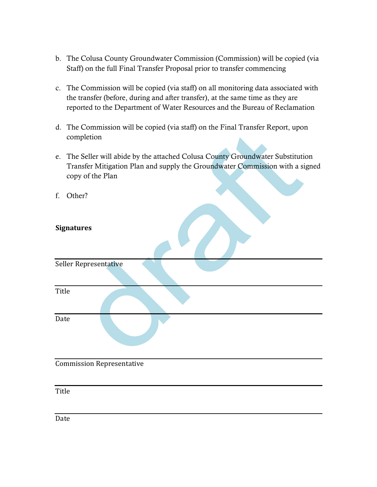- b. The Colusa County Groundwater Commission (Commission) will be copied (via Staff) on the full Final Transfer Proposal prior to transfer commencing
- c. The Commission will be copied (via staff) on all monitoring data associated with the transfer (before, during and after transfer), at the same time as they are reported to the Department of Water Resources and the Bureau of Reclamation
- d. The Commission will be copied (via staff) on the Final Transfer Report, upon completion
- e. The Seller will abide by the attached Colusa County Groundwater Substitution Transfer Mitigation Plan and supply the Groundwater Commission with a signed copy of the Plan
- f. Other?

### **Signatures**

Seller Representative

Title

Date

### Commission Representative

Title

Date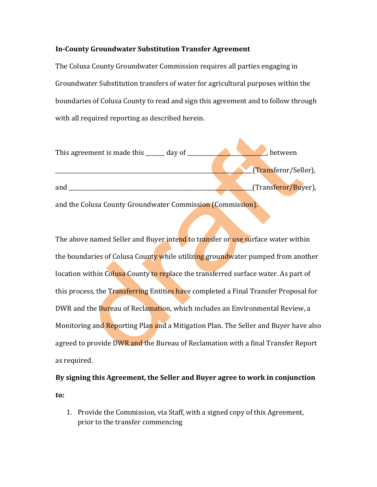#### **In-County Groundwater Substitution Transfer Agreement**

The Colusa County Groundwater Commission requires all parties engaging in Groundwater Substitution transfers of water for agricultural purposes within the boundaries of Colusa County to read and sign this agreement and to follow through with all required reporting as described herein.



The above named Seller and Buyer intend to transfer or use surface water within the boundaries of Colusa County while utilizing groundwater pumped from another location within Colusa County to replace the transferred surface water. As part of this process, the Transferring Entities have completed a Final Transfer Proposal for DWR and the Bureau of Reclamation, which includes an Environmental Review, a Monitoring and Reporting Plan and a Mitigation Plan. The Seller and Buyer have also agreed to provide DWR and the Bureau of Reclamation with a final Transfer Report as required.

# By signing this Agreement, the Seller and Buyer agree to work in conjunction **to:**

1. Provide the Commission, via Staff, with a signed copy of this Agreement, prior to the transfer commencing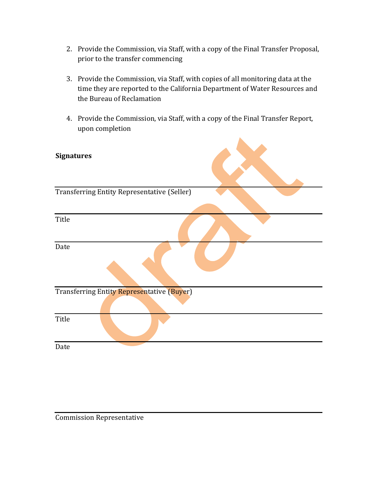- 2. Provide the Commission, via Staff, with a copy of the Final Transfer Proposal, prior to the transfer commencing
- 3. Provide the Commission, via Staff, with copies of all monitoring data at the time they are reported to the California Department of Water Resources and the Bureau of Reclamation
- 4. Provide the Commission, via Staff, with a copy of the Final Transfer Report, upon completion

| <b>Signatures</b>                           |  |
|---------------------------------------------|--|
| Transferring Entity Representative (Seller) |  |
|                                             |  |
| Title                                       |  |
| Date                                        |  |
| Transferring Entity Representative (Buyer)  |  |
|                                             |  |
| Title                                       |  |
| Date                                        |  |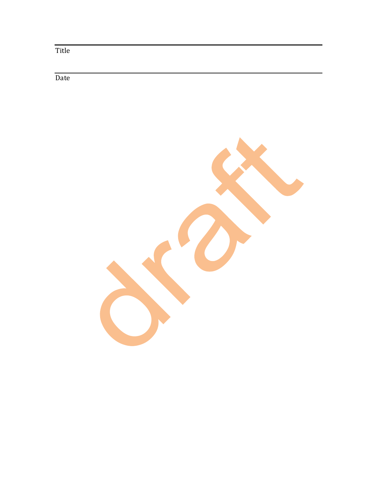Title

Date

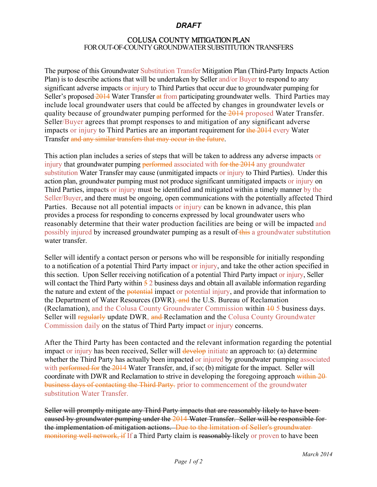#### *DRAFT*

#### COLUSA COUNTY MITIGATION PLAN FOR OUT-OF-COUNTY GROUNDWATER SUBSTITUTIONTRANSFERS

The purpose of this Groundwater Substitution Transfer Mitigation Plan (Third-Party Impacts Action Plan) is to describe actions that will be undertaken by Seller and/or Buyer to respond to any significant adverse impacts or injury to Third Parties that occur due to groundwater pumping for Seller's proposed 2014 Water Transfer at from participating groundwater wells. Third Parties may include local groundwater users that could be affected by changes in groundwater levels or quality because of groundwater pumping performed for the 2014 proposed Water Transfer. Seller/Buyer agrees that prompt responses to and mitigation of any significant adverse impacts or injury to Third Parties are an important requirement for the 2014 every Water Transfer and any similar transfers that may occur in the future.

This action plan includes a series of steps that will be taken to address any adverse impacts or injury that groundwater pumping performed associated with for the 2014 any groundwater substitution Water Transfer may cause (unmitigated impacts or injury to Third Parties). Under this action plan, groundwater pumping must not produce significant unmitigated impacts or injury on Third Parties, impacts or injury must be identified and mitigated within a timely manner by the Seller/Buyer, and there must be ongoing, open communications with the potentially affected Third Parties. Because not all potential impacts or injury can be known in advance, this plan provides a process for responding to concerns expressed by local groundwater users who reasonably determine that their water production facilities are being or will be impacted and possibly injured by increased groundwater pumping as a result of this a groundwater substitution water transfer.

Seller will identify a contact person or persons who will be responsible for initially responding to a notification of a potential Third Party impact or injury, and take the other action specified in this section. Upon Seller receiving notification of a potential Third Party impact or injury, Seller will contact the Third Party within  $\frac{5}{2}$  business days and obtain all available information regarding the nature and extent of the potential impact or potential injury, and provide that information to the Department of Water Resources (DWR), and the U.S. Bureau of Reclamation (Reclamation), and the Colusa County Groundwater Commission within  $\frac{10}{10}$  5 business days. Seller will regularly update DWR, and Reclamation and the Colusa County Groundwater Commission daily on the status of Third Party impact or injury concerns.

After the Third Party has been contacted and the relevant information regarding the potential impact or injury has been received, Seller will develop initiate an approach to: (a) determine whether the Third Party has actually been impacted or injured by groundwater pumping associated with <del>performed for</del> the 2014 Water Transfer, and, if so; (b) mitigate for the impact. Seller will coordinate with DWR and Reclamation to strive in developing the foregoing approach within 20 business days of contacting the Third Party. prior to commencement of the groundwater substitution Water Transfer.

Seller will promptly mitigate any Third Party impacts that are reasonably likely to have been caused by groundwater pumping under the 2014 Water Transfer. Seller will be responsible for the implementation of mitigation actions. Due to the limitation of Seller's groundwater monitoring well network, if If a Third Party claim is reasonably likely or proven to have been